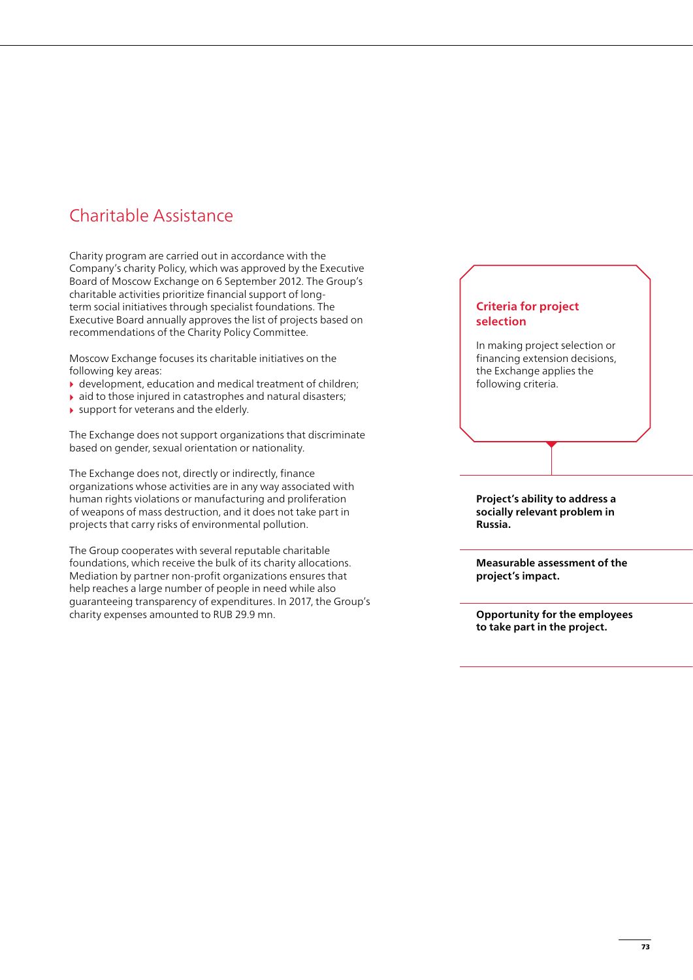# Charitable Assistance

Charity program are carried out in accordance with the Company's charity Policy, which was approved by the Executive Board of Moscow Exchange on 6 September 2012. The Group's charitable activities prioritize financial support of longterm social initiatives through specialist foundations. The Executive Board annually approves the list of projects based on recommendations of the Charity Policy Committee.

Moscow Exchange focuses its charitable initiatives on the following key areas:

- $\rightarrow$  development, education and medical treatment of children;
- $\blacktriangleright$  aid to those injured in catastrophes and natural disasters;
- $\blacktriangleright$  support for veterans and the elderly.

The Exchange does not support organizations that discriminate based on gender, sexual orientation or nationality.

The Exchange does not, directly or indirectly, finance organizations whose activities are in any way associated with human rights violations or manufacturing and proliferation of weapons of mass destruction, and it does not take part in projects that carry risks of environmental pollution.

The Group cooperates with several reputable charitable foundations, which receive the bulk of its charity allocations. Mediation by partner non-profit organizations ensures that help reaches a large number of people in need while also guaranteeing transparency of expenditures. In 2017, the Group's charity expenses amounted to RUB 29.9 mn.

## **Criteria for project selection**

In making project selection or financing extension decisions, the Exchange applies the following criteria.

**Project's ability to address a socially relevant problem in Russia.**

**Measurable assessment of the project's impact.**

**Opportunity for the employees to take part in the project.**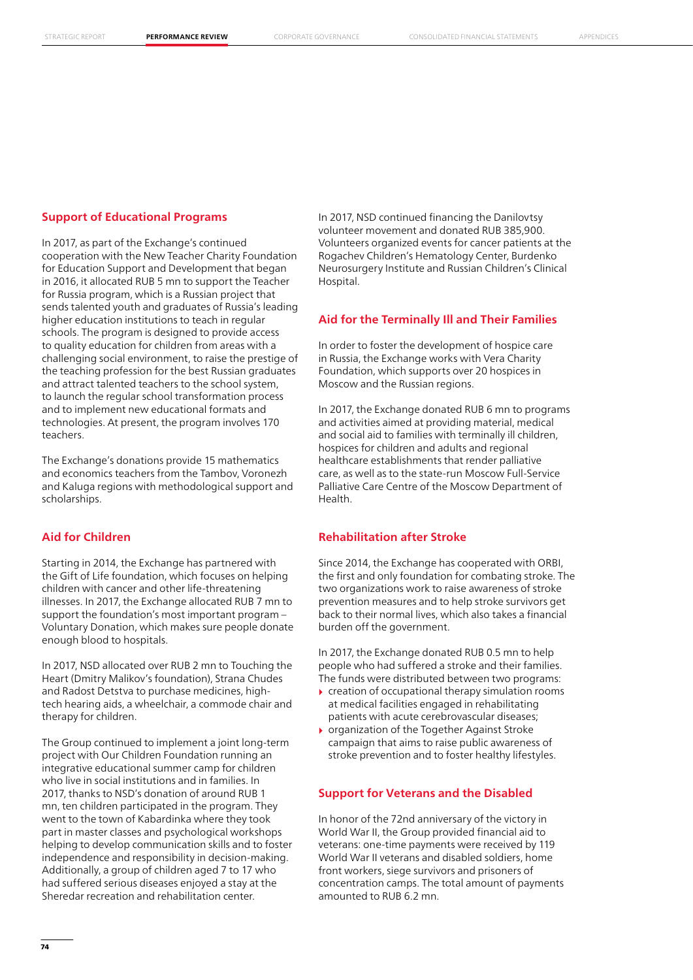#### **Support of Educational Programs**

In 2017, as part of the Exchange's continued cooperation with the New Teacher Charity Foundation for Education Support and Development that began in 2016, it allocated RUB 5 mn to support the Teacher for Russia program, which is a Russian project that sends talented youth and graduates of Russia's leading higher education institutions to teach in regular schools. The program is designed to provide access to quality education for children from areas with a challenging social environment, to raise the prestige of the teaching profession for the best Russian graduates and attract talented teachers to the school system, to launch the regular school transformation process and to implement new educational formats and technologies. At present, the program involves 170 teachers.

The Exchange's donations provide 15 mathematics and economics teachers from the Tambov, Voronezh and Kaluga regions with methodological support and scholarships.

### **Aid for Children**

Starting in 2014, the Exchange has partnered with the Gift of Life foundation, which focuses on helping children with cancer and other life-threatening illnesses. In 2017, the Exchange allocated RUB 7 mn to support the foundation's most important program – Voluntary Donation, which makes sure people donate enough blood to hospitals.

In 2017, NSD allocated over RUB 2 mn to Touching the Heart (Dmitry Malikov's foundation), Strana Chudes and Radost Detstva to purchase medicines, hightech hearing aids, a wheelchair, a commode chair and therapy for children.

The Group continued to implement a joint long-term project with Our Children Foundation running an integrative educational summer camp for children who live in social institutions and in families. In 2017, thanks to NSD's donation of around RUB 1 mn, ten children participated in the program. They went to the town of Kabardinka where they took part in master classes and psychological workshops helping to develop communication skills and to foster independence and responsibility in decision-making. Additionally, a group of children aged 7 to 17 who had suffered serious diseases enjoyed a stay at the Sheredar recreation and rehabilitation center.

In 2017, NSD continued financing the Danilovtsy volunteer movement and donated RUB 385,900. Volunteers organized events for cancer patients at the Rogachev Children's Hematology Center, Burdenko Neurosurgery Institute and Russian Children's Clinical Hospital.

#### **Aid for the Terminally Ill and Their Families**

In order to foster the development of hospice care in Russia, the Exchange works with Vera Charity Foundation, which supports over 20 hospices in Moscow and the Russian regions.

In 2017, the Exchange donated RUB 6 mn to programs and activities aimed at providing material, medical and social aid to families with terminally ill children, hospices for children and adults and regional healthcare establishments that render palliative care, as well as to the state-run Moscow Full-Service Palliative Care Centre of the Moscow Department of Health.

#### **Rehabilitation after Stroke**

Since 2014, the Exchange has cooperated with ORBI, the first and only foundation for combating stroke. The two organizations work to raise awareness of stroke prevention measures and to help stroke survivors get back to their normal lives, which also takes a financial burden off the government.

In 2017, the Exchange donated RUB 0.5 mn to help people who had suffered a stroke and their families. The funds were distributed between two programs:

- $\triangleright$  creation of occupational therapy simulation rooms at medical facilities engaged in rehabilitating patients with acute cerebrovascular diseases;
- ▶ organization of the Together Against Stroke campaign that aims to raise public awareness of stroke prevention and to foster healthy lifestyles.

#### **Support for Veterans and the Disabled**

In honor of the 72nd anniversary of the victory in World War II, the Group provided financial aid to veterans: one-time payments were received by 119 World War II veterans and disabled soldiers, home front workers, siege survivors and prisoners of concentration camps. The total amount of payments amounted to RUB 6.2 mn.